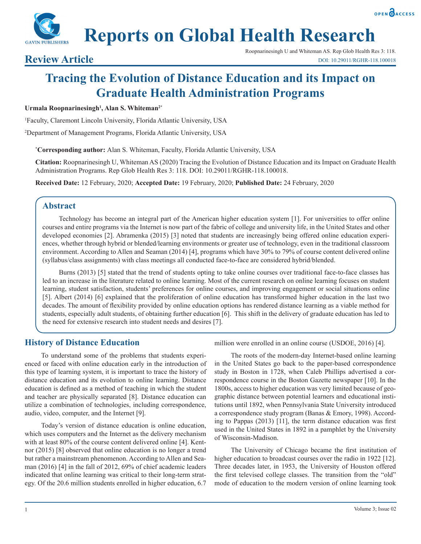



# **Tracing the Evolution of Distance Education and its Impact on Graduate Health Administration Programs**

### **Urmala Roopnarinesingh1 , Alan S. Whiteman2\***

1 Faculty, Claremont Lincoln University, Florida Atlantic University, USA

2 Department of Management Programs, Florida Atlantic University, USA

**\* Corresponding author:** Alan S. Whiteman, Faculty, Florida Atlantic University, USA

**Citation:** Roopnarinesingh U, Whiteman AS (2020) Tracing the Evolution of Distance Education and its Impact on Graduate Health Administration Programs. Rep Glob Health Res 3: 118. DOI: 10.29011/RGHR-118.100018.

**Received Date:** 12 February, 2020; **Accepted Date:** 19 February, 2020; **Published Date:** 24 February, 2020

# **Abstract**

Technology has become an integral part of the American higher education system [1]. For universities to offer online courses and entire programs via the Internet is now part of the fabric of college and university life, in the United States and other developed economies [2]. Abramenka (2015) [3] noted that students are increasingly being offered online education experiences, whether through hybrid or blended/learning environments or greater use of technology, even in the traditional classroom environment. According to Allen and Seaman (2014) [4], programs which have 30% to 79% of course content delivered online (syllabus/class assignments) with class meetings all conducted face-to-face are considered hybrid/blended.

Burns (2013) [5] stated that the trend of students opting to take online courses over traditional face-to-face classes has led to an increase in the literature related to online learning. Most of the current research on online learning focuses on student learning, student satisfaction, students' preferences for online courses, and improving engagement or social situations online [5]. Albert (2014) [6] explained that the proliferation of online education has transformed higher education in the last two decades. The amount of flexibility provided by online education options has rendered distance learning as a viable method for students, especially adult students, of obtaining further education [6]. This shift in the delivery of graduate education has led to the need for extensive research into student needs and desires [7].

# **History of Distance Education**

To understand some of the problems that students experienced or faced with online education early in the introduction of this type of learning system, it is important to trace the history of distance education and its evolution to online learning. Distance education is defined as a method of teaching in which the student and teacher are physically separated [8]. Distance education can utilize a combination of technologies, including correspondence, audio, video, computer, and the Internet [9].

Today's version of distance education is online education, which uses computers and the Internet as the delivery mechanism with at least 80% of the course content delivered online [4]. Kentnor (2015) [8] observed that online education is no longer a trend but rather a mainstream phenomenon. According to Allen and Seaman (2016) [4] in the fall of 2012, 69% of chief academic leaders indicated that online learning was critical to their long-term strategy. Of the 20.6 million students enrolled in higher education, 6.7 million were enrolled in an online course (USDOE, 2016) [4].

The roots of the modern-day Internet-based online learning in the United States go back to the paper-based correspondence study in Boston in 1728, when Caleb Phillips advertised a correspondence course in the Boston Gazette newspaper [10]. In the 1800s, access to higher education was very limited because of geographic distance between potential learners and educational institutions until 1892, when Pennsylvania State University introduced a correspondence study program (Banas & Emory, 1998). According to Pappas (2013) [11], the term distance education was first used in the United States in 1892 in a pamphlet by the University of Wisconsin-Madison.

The University of Chicago became the first institution of higher education to broadcast courses over the radio in 1922 [12]. Three decades later, in 1953, the University of Houston offered the first televised college classes. The transition from the "old" mode of education to the modern version of online learning took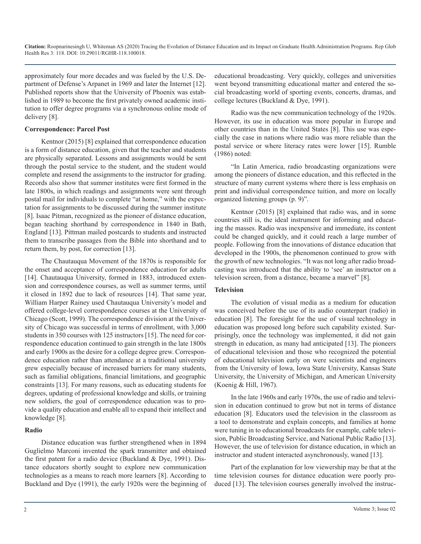approximately four more decades and was fueled by the U.S. Department of Defense's Arpanet in 1969 and later the Internet [12]. Published reports show that the University of Phoenix was established in 1989 to become the first privately owned academic institution to offer degree programs via a synchronous online mode of delivery [8].

#### **Correspondence: Parcel Post**

Kentnor (2015) [8] explained that correspondence education is a form of distance education, given that the teacher and students are physically separated. Lessons and assignments would be sent through the postal service to the student, and the student would complete and resend the assignments to the instructor for grading. Records also show that summer institutes were first formed in the late 1800s, in which readings and assignments were sent through postal mail for individuals to complete "at home," with the expectation for assignments to be discussed during the summer institute [8]. Isaac Pitman, recognized as the pioneer of distance education, began teaching shorthand by correspondence in 1840 in Bath, England [13]. Pittman mailed postcards to students and instructed them to transcribe passages from the Bible into shorthand and to return them, by post, for correction [13].

The Chautauqua Movement of the 1870s is responsible for the onset and acceptance of correspondence education for adults [14]. Chautauqua University, formed in 1883, introduced extension and correspondence courses, as well as summer terms, until it closed in 1892 due to lack of resources [14]. That same year, William Harper Rainey used Chautauqua University's model and offered college-level correspondence courses at the University of Chicago (Scott, 1999). The correspondence division at the University of Chicago was successful in terms of enrollment, with 3,000 students in 350 courses with 125 instructors [15]. The need for correspondence education continued to gain strength in the late 1800s and early 1900s as the desire for a college degree grew. Correspondence education rather than attendance at a traditional university grew especially because of increased barriers for many students, such as familial obligations, financial limitations, and geographic constraints [13]. For many reasons, such as educating students for degrees, updating of professional knowledge and skills, or training new soldiers, the goal of correspondence education was to provide a quality education and enable all to expand their intellect and knowledge [8].

#### **Radio**

Distance education was further strengthened when in 1894 Guglielmo Marconi invented the spark transmitter and obtained the first patent for a radio device (Buckland & Dye, 1991). Distance educators shortly sought to explore new communication technologies as a means to reach more learners [8]. According to Buckland and Dye (1991), the early 1920s were the beginning of educational broadcasting. Very quickly, colleges and universities went beyond transmitting educational matter and entered the social broadcasting world of sporting events, concerts, dramas, and college lectures (Buckland & Dye, 1991).

Radio was the new communication technology of the 1920s. However, its use in education was more popular in Europe and other countries than in the United States [8]. This use was especially the case in nations where radio was more reliable than the postal service or where literacy rates were lower [15]. Rumble (1986) noted:

"In Latin America, radio broadcasting organizations were among the pioneers of distance education, and this reflected in the structure of many current systems where there is less emphasis on print and individual correspondence tuition, and more on locally organized listening groups (p. 9)".

Kentnor (2015) [8] explained that radio was, and in some countries still is, the ideal instrument for informing and educating the masses. Radio was inexpensive and immediate, its content could be changed quickly, and it could reach a large number of people. Following from the innovations of distance education that developed in the 1900s, the phenomenon continued to grow with the growth of new technologies. "It was not long after radio broadcasting was introduced that the ability to 'see' an instructor on a television screen, from a distance, became a marvel" [8].

#### **Television**

The evolution of visual media as a medium for education was conceived before the use of its audio counterpart (radio) in education [8]. The foresight for the use of visual technology in education was proposed long before such capability existed. Surprisingly, once the technology was implemented, it did not gain strength in education, as many had anticipated [13]. The pioneers of educational television and those who recognized the potential of educational television early on were scientists and engineers from the University of Iowa, Iowa State University, Kansas State University, the University of Michigan, and American University (Koenig & Hill, 1967).

In the late 1960s and early 1970s, the use of radio and television in education continued to grow but not in terms of distance education [8]. Educators used the television in the classroom as a tool to demonstrate and explain concepts, and families at home were tuning in to educational broadcasts for example, cable television, Public Broadcasting Service, and National Public Radio [13]. However, the use of television for distance education, in which an instructor and student interacted asynchronously, waned [13].

Part of the explanation for low viewership may be that at the time television courses for distance education were poorly produced [13]. The television courses generally involved the instruc-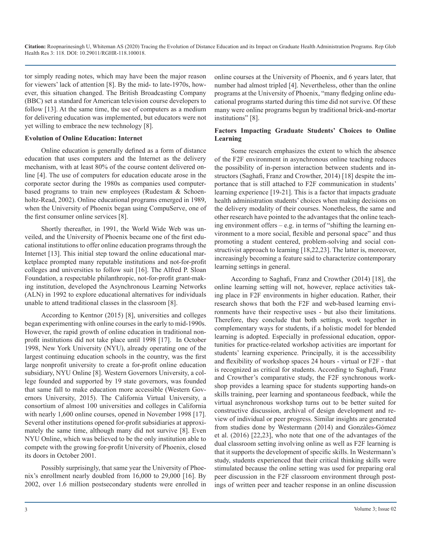tor simply reading notes, which may have been the major reason for viewers' lack of attention [8]. By the mid- to late-1970s, however, this situation changed. The British Broadcasting Company (BBC) set a standard for American television course developers to follow [13]. At the same time, the use of computers as a medium for delivering education was implemented, but educators were not yet willing to embrace the new technology [8].

#### **Evolution of Online Education: Internet**

Online education is generally defined as a form of distance education that uses computers and the Internet as the delivery mechanism, with at least 80% of the course content delivered online [4]. The use of computers for education educate arose in the corporate sector during the 1980s as companies used computerbased programs to train new employees (Rudestam & Schoenholtz-Read, 2002). Online educational programs emerged in 1989, when the University of Phoenix began using CompuServe, one of the first consumer online services [8].

Shortly thereafter, in 1991, the World Wide Web was unveiled, and the University of Phoenix became one of the first educational institutions to offer online education programs through the Internet [13]. This initial step toward the online educational marketplace prompted many reputable institutions and not-for-profit colleges and universities to follow suit [16]. The Alfred P. Sloan Foundation, a respectable philanthropic, not-for-profit grant-making institution, developed the Asynchronous Learning Networks (ALN) in 1992 to explore educational alternatives for individuals unable to attend traditional classes in the classroom [8].

According to Kentnor (2015) [8], universities and colleges began experimenting with online courses in the early to mid-1990s. However, the rapid growth of online education in traditional nonprofit institutions did not take place until 1998 [17]. In October 1998, New York University (NYU), already operating one of the largest continuing education schools in the country, was the first large nonprofit university to create a for-profit online education subsidiary, NYU Online [8]. Western Governors University, a college founded and supported by 19 state governors, was founded that same fall to make education more accessible (Western Governors University, 2015). The California Virtual University, a consortium of almost 100 universities and colleges in California with nearly 1,600 online courses, opened in November 1998 [17]. Several other institutions opened for-profit subsidiaries at approximately the same time, although many did not survive [8]. Even NYU Online, which was believed to be the only institution able to compete with the growing for-profit University of Phoenix, closed its doors in October 2001.

Possibly surprisingly, that same year the University of Phoenix's enrollment nearly doubled from 16,000 to 29,000 [16]. By 2002, over 1.6 million postsecondary students were enrolled in online courses at the University of Phoenix, and 6 years later, that number had almost tripled [4]. Nevertheless, other than the online programs at the University of Phoenix, "many fledging online educational programs started during this time did not survive. Of these many were online programs begun by traditional brick-and-mortar institutions" [8].

### **Factors Impacting Graduate Students' Choices to Online Learning**

Some research emphasizes the extent to which the absence of the F2F environment in asynchronous online teaching reduces the possibility of in-person interaction between students and instructors (Saghafi, Franz and Crowther, 2014) [18] despite the importance that is still attached to F2F communication in students' learning experience [19-21]. This is a factor that impacts graduate health administration students' choices when making decisions on the delivery modality of their courses. Nonetheless, the same and other research have pointed to the advantages that the online teaching environment offers – e.g. in terms of "shifting the learning environment to a more social, flexible and personal space" and thus promoting a student centered, problem-solving and social constructivist approach to learning [18,22,23]. The latter is, moreover, increasingly becoming a feature said to characterize contemporary learning settings in general.

According to Saghafi, Franz and Crowther (2014) [18], the online learning setting will not, however, replace activities taking place in F2F environments in higher education. Rather, their research shows that both the F2F and web-based learning environments have their respective uses - but also their limitations. Therefore, they conclude that both settings, work together in complementary ways for students, if a holistic model for blended learning is adopted. Especially in professional education, opportunities for practice-related workshop activities are important for students' learning experience. Principally, it is the accessibility and flexibility of workshop spaces 24 hours - virtual or F2F - that is recognized as critical for students. According to Saghafi, Franz and Crowther's comparative study, the F2F synchronous workshop provides a learning space for students supporting hands-on skills training, peer learning and spontaneous feedback, while the virtual asynchronous workshop turns out to be better suited for constructive discussion, archival of design development and review of individual or peer progress. Similar insights are generated from studies done by Westermann (2014) and Gonzàles-Gómez et al. (2016) [22,23], who note that one of the advantages of the dual classroom setting involving online as well as F2F learning is that it supports the development of specific skills. In Westermann's study, students experienced that their critical thinking skills were stimulated because the online setting was used for preparing oral peer discussion in the F2F classroom environment through postings of written peer and teacher response in an online discussion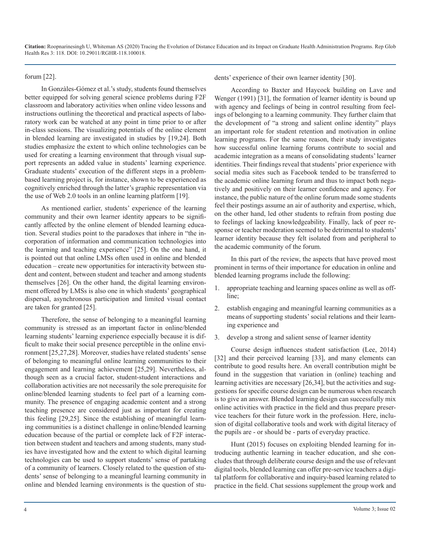forum [22].

In Gonzàles-Gómez et al.'s study, students found themselves better equipped for solving general science problems during F2F classroom and laboratory activities when online video lessons and instructions outlining the theoretical and practical aspects of laboratory work can be watched at any point in time prior to or after in-class sessions. The visualizing potentials of the online element in blended learning are investigated in studies by [19,24]. Both studies emphasize the extent to which online technologies can be used for creating a learning environment that through visual support represents an added value in students' learning experience. Graduate students' execution of the different steps in a problembased learning project is, for instance, shown to be experienced as cognitively enriched through the latter's graphic representation via the use of Web 2.0 tools in an online learning platform [19].

As mentioned earlier, students' experience of the learning community and their own learner identity appears to be significantly affected by the online element of blended learning education. Several studies point to the paradoxes that inhere in "the incorporation of information and communication technologies into the learning and teaching experience" [25]. On the one hand, it is pointed out that online LMSs often used in online and blended education – create new opportunities for interactivity between student and content, between student and teacher and among students themselves [26]. On the other hand, the digital learning environment offered by LMSs is also one in which students' geographical dispersal, asynchronous participation and limited visual contact are taken for granted [25].

Therefore, the sense of belonging to a meaningful learning community is stressed as an important factor in online/blended learning students' learning experience especially because it is difficult to make their social presence perceptible in the online environment [25,27,28]. Moreover, studies have related students' sense of belonging to meaningful online learning communities to their engagement and learning achievement [25,29]. Nevertheless, although seen as a crucial factor, student-student interactions and collaboration activities are not necessarily the sole prerequisite for online/blended learning students to feel part of a learning community. The presence of engaging academic content and a strong teaching presence are considered just as important for creating this feeling [29,25]. Since the establishing of meaningful learning communities is a distinct challenge in online/blended learning education because of the partial or complete lack of F2F interaction between student and teachers and among students, many studies have investigated how and the extent to which digital learning technologies can be used to support students' sense of partaking of a community of learners. Closely related to the question of students' sense of belonging to a meaningful learning community in online and blended learning environments is the question of students' experience of their own learner identity [30].

According to Baxter and Haycock building on Lave and Wenger (1991) [31], the formation of learner identity is bound up with agency and feelings of being in control resulting from feelings of belonging to a learning community. They further claim that the development of "a strong and salient online identity" plays an important role for student retention and motivation in online learning programs. For the same reason, their study investigates how successful online learning forums contribute to social and academic integration as a means of consolidating students' learner identities. Their findings reveal that students' prior experience with social media sites such as Facebook tended to be transferred to the academic online learning forum and thus to impact both negatively and positively on their learner confidence and agency. For instance, the public nature of the online forum made some students feel their postings assume an air of authority and expertise, which, on the other hand, led other students to refrain from posting due to feelings of lacking knowledgeability. Finally, lack of peer response or teacher moderation seemed to be detrimental to students' learner identity because they felt isolated from and peripheral to the academic community of the forum.

In this part of the review, the aspects that have proved most prominent in terms of their importance for education in online and blended learning programs include the following:

- 1. appropriate teaching and learning spaces online as well as offline;
- 2. establish engaging and meaningful learning communities as a means of supporting students' social relations and their learning experience and
- 3. develop a strong and salient sense of learner identity

Course design influences student satisfaction (Lee, 2014) [32] and their perceived learning [33], and many elements can contribute to good results here. An overall contribution might be found in the suggestion that variation in (online) teaching and learning activities are necessary [26,34], but the activities and suggestions for specific course design can be numerous when research is to give an answer. Blended learning design can successfully mix online activities with practice in the field and thus prepare preservice teachers for their future work in the profession. Here, inclusion of digital collaborative tools and work with digital literacy of the pupils are - or should be - parts of everyday practice.

Hunt (2015) focuses on exploiting blended learning for introducing authentic learning in teacher education, and she concludes that through deliberate course design and the use of relevant digital tools, blended learning can offer pre-service teachers a digital platform for collaborative and inquiry-based learning related to practice in the field. Chat sessions supplement the group work and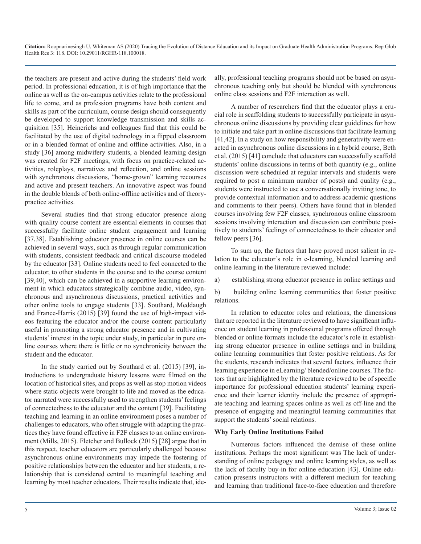the teachers are present and active during the students' field work period. In professional education, it is of high importance that the online as well as the on-campus activities relate to the professional life to come, and as profession programs have both content and skills as part of the curriculum, course design should consequently be developed to support knowledge transmission and skills acquisition [35]. Heinerichs and colleagues find that this could be facilitated by the use of digital technology in a flipped classroom or in a blended format of online and offline activities. Also, in a study [36] among midwifery students, a blended learning design was created for F2F meetings, with focus on practice-related activities, roleplays, narratives and reflection, and online sessions with synchronous discussions, "home-grown" learning recourses and active and present teachers. An innovative aspect was found in the double blends of both online-offline activities and of theorypractice activities.

Several studies find that strong educator presence along with quality course content are essential elements in courses that successfully facilitate online student engagement and learning [37,38]. Establishing educator presence in online courses can be achieved in several ways, such as through regular communication with students, consistent feedback and critical discourse modeled by the educator [33]. Online students need to feel connected to the educator, to other students in the course and to the course content [39,40], which can be achieved in a supportive learning environment in which educators strategically combine audio, video, synchronous and asynchronous discussions, practical activities and other online tools to engage students [33]. Southard, Meddaugh and France-Harris (2015) [39] found the use of high-impact videos featuring the educator and/or the course content particularly useful in promoting a strong educator presence and in cultivating students' interest in the topic under study, in particular in pure online courses where there is little or no synchronicity between the student and the educator.

In the study carried out by Southard et al. (2015) [39], introductions to undergraduate history lessons were filmed on the location of historical sites, and props as well as stop motion videos where static objects were brought to life and moved as the educator narrated were successfully used to strengthen students' feelings of connectedness to the educator and the content [39]. Facilitating teaching and learning in an online environment poses a number of challenges to educators, who often struggle with adapting the practices they have found effective in F2F classes to an online environment (Mills, 2015). Fletcher and Bullock (2015) [28] argue that in this respect, teacher educators are particularly challenged because asynchronous online environments may impede the fostering of positive relationships between the educator and her students, a relationship that is considered central to meaningful teaching and learning by most teacher educators. Their results indicate that, ideally, professional teaching programs should not be based on asynchronous teaching only but should be blended with synchronous online class sessions and F2F interaction as well.

A number of researchers find that the educator plays a crucial role in scaffolding students to successfully participate in asynchronous online discussions by providing clear guidelines for how to initiate and take part in online discussions that facilitate learning [41,42]. In a study on how responsibility and generativity were enacted in asynchronous online discussions in a hybrid course, Beth et al. (2015) [41] conclude that educators can successfully scaffold students' online discussions in terms of both quantity (e.g., online discussion were scheduled at regular intervals and students were required to post a minimum number of posts) and quality (e.g., students were instructed to use a conversationally inviting tone, to provide contextual information and to address academic questions and comments to their peers). Others have found that in blended courses involving few F2F classes, synchronous online classroom sessions involving interaction and discussion can contribute positively to students' feelings of connectedness to their educator and fellow peers [36].

To sum up, the factors that have proved most salient in relation to the educator's role in e-learning, blended learning and online learning in the literature reviewed include:

a) establishing strong educator presence in online settings and

b) building online learning communities that foster positive relations.

In relation to educator roles and relations, the dimensions that are reported in the literature reviewed to have significant influence on student learning in professional programs offered through blended or online formats include the educator's role in establishing strong educator presence in online settings and in building online learning communities that foster positive relations. As for the students, research indicates that several factors, influence their learning experience in eLearning/ blended/online courses. The factors that are highlighted by the literature reviewed to be of specific importance for professional education students' learning experience and their learner identity include the presence of appropriate teaching and learning spaces online as well as off-line and the presence of engaging and meaningful learning communities that support the students' social relations.

#### **Why Early Online Institutions Failed**

Numerous factors influenced the demise of these online institutions. Perhaps the most significant was The lack of understanding of online pedagogy and online learning styles, as well as the lack of faculty buy-in for online education [43]. Online education presents instructors with a different medium for teaching and learning than traditional face-to-face education and therefore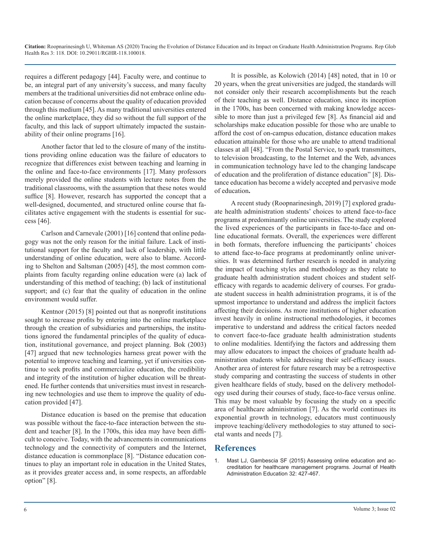requires a different pedagogy [44]. Faculty were, and continue to be, an integral part of any university's success, and many faculty members at the traditional universities did not embrace online education because of concerns about the quality of education provided through this medium [45]. As many traditional universities entered the online marketplace, they did so without the full support of the faculty, and this lack of support ultimately impacted the sustainability of their online programs [16].

Another factor that led to the closure of many of the institutions providing online education was the failure of educators to recognize that differences exist between teaching and learning in the online and face-to-face environments [17]. Many professors merely provided the online students with lecture notes from the traditional classrooms, with the assumption that these notes would suffice [8]. However, research has supported the concept that a well-designed, documented, and structured online course that facilitates active engagement with the students is essential for success [46].

Carlson and Carnevale (2001) [16] contend that online pedagogy was not the only reason for the initial failure. Lack of institutional support for the faculty and lack of leadership, with little understanding of online education, were also to blame. According to Shelton and Saltsman (2005) [45], the most common complaints from faculty regarding online education were (a) lack of understanding of this method of teaching; (b) lack of institutional support; and (c) fear that the quality of education in the online environment would suffer.

Kentnor (2015) [8] pointed out that as nonprofit institutions sought to increase profits by entering into the online marketplace through the creation of subsidiaries and partnerships, the institutions ignored the fundamental principles of the quality of education, institutional governance, and project planning. Bok (2003) [47] argued that new technologies harness great power with the potential to improve teaching and learning, yet if universities continue to seek profits and commercialize education, the credibility and integrity of the institution of higher education will be threatened. He further contends that universities must invest in researching new technologies and use them to improve the quality of education provided [47].

Distance education is based on the premise that education was possible without the face-to-face interaction between the student and teacher [8]. In the 1700s, this idea may have been difficult to conceive. Today, with the advancements in communications technology and the connectivity of computers and the Internet, distance education is commonplace [8]. "Distance education continues to play an important role in education in the United States, as it provides greater access and, in some respects, an affordable option" [8].

It is possible, as Kolowich (2014) [48] noted, that in 10 or 20 years, when the great universities are judged, the standards will not consider only their research accomplishments but the reach of their teaching as well. Distance education, since its inception in the 1700s, has been concerned with making knowledge accessible to more than just a privileged few [8]. As financial aid and scholarships make education possible for those who are unable to afford the cost of on-campus education, distance education makes education attainable for those who are unable to attend traditional classes at all [48]. "From the Postal Service, to spark transmitters, to television broadcasting, to the Internet and the Web, advances in communication technology have led to the changing landscape of education and the proliferation of distance education" [8]. Distance education has become a widely accepted and pervasive mode of education**.**

A recent study (Roopnarinesingh, 2019) [7] explored graduate health administration students' choices to attend face-to-face programs at predominantly online universities. The study explored the lived experiences of the participants in face-to-face and online educational formats. Overall, the experiences were different in both formats, therefore influencing the participants' choices to attend face-to-face programs at predominantly online universities. It was determined further research is needed in analyzing the impact of teaching styles and methodology as they relate to graduate health administration student choices and student selfefficacy with regards to academic delivery of courses. For graduate student success in health administration programs, it is of the upmost importance to understand and address the implicit factors affecting their decisions. As more institutions of higher education invest heavily in online instructional methodologies, it becomes imperative to understand and address the critical factors needed to convert face-to-face graduate health administration students to online modalities. Identifying the factors and addressing them may allow educators to impact the choices of graduate health administration students while addressing their self-efficacy issues. Another area of interest for future research may be a retrospective study comparing and contrasting the success of students in other given healthcare fields of study, based on the delivery methodology used during their courses of study, face-to-face versus online. This may be most valuable by focusing the study on a specific area of healthcare administration [7]. As the world continues its exponential growth in technology, educators must continuously improve teaching/delivery methodologies to stay attuned to societal wants and needs [7].

## **References**

[Mast LJ, Gambescia SF \(2015\) Assessing online education and ac](https://higherlogicdownload.s3.amazonaws.com/AUPHA/594ea6d1-e7ff-4ab0-baf1-5cdf7391fd0e/UploadedImages/Online Whitepaper 2013.pdf)creditation for healthcare management programs. Journal of Health [Administration Education 32: 427-467.](https://higherlogicdownload.s3.amazonaws.com/AUPHA/594ea6d1-e7ff-4ab0-baf1-5cdf7391fd0e/UploadedImages/Online Whitepaper 2013.pdf)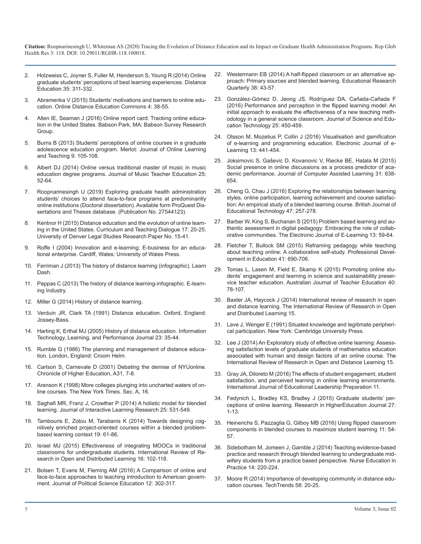- 2. [Holzweiss C, Joyner S, Fuller M, Henderson S, Young R \(2014\) Online](https://www.tandfonline.com/doi/abs/10.1080/01587919.2015.955262)  [graduate students' perceptions of best learning experiences. Distance](https://www.tandfonline.com/doi/abs/10.1080/01587919.2015.955262)  [Education 35: 311-332.](https://www.tandfonline.com/doi/abs/10.1080/01587919.2015.955262)
- 3. [Abramenka V \(2015\) Students' motivations and barriers to online edu](https://scholarworks.gvsu.edu/theses/776/)[cation. Online Distance Education Commons 4: 38-55.](https://scholarworks.gvsu.edu/theses/776/)
- 4. [Allen IE, Seaman J \(2016\) Online report card: Tracking online educa](https://eric.ed.gov/?id=ED572777)[tion in the United States. Babson Park, MA: Babson Survey Research](https://eric.ed.gov/?id=ED572777)  [Group.](https://eric.ed.gov/?id=ED572777)
- 5. [Burns B \(2013\) Students' perceptions of online courses in a graduate](https://jolt.merlot.org/vol9no1/burns_0313.pdf) [adolescence education program. Merlot: Journal of Online Learning](https://jolt.merlot.org/vol9no1/burns_0313.pdf)  [and Teaching 9: 105-108.](https://jolt.merlot.org/vol9no1/burns_0313.pdf)
- 6. [Albert DJ \(2014\) Online versus traditional master of music in music](https://journals.sagepub.com/doi/abs/10.1177/1057083714548588) [education degree programs. Journal of Music Teacher Education 25:](https://journals.sagepub.com/doi/abs/10.1177/1057083714548588)  [52-64.](https://journals.sagepub.com/doi/abs/10.1177/1057083714548588)
- 7. Roopnarinesingh U (2019) Exploring graduate health administration students' choices to attend face-to-face programs at predominantly online institutions (Doctoral dissertation). Available form ProQuest Dissertations and Theses database. (Publication No. 27544123).
- 8. [Kentnor H \(2015\) Distance education and the evolution of online learn](https://digitalcommons.du.edu/cgi/viewcontent.cgi?article=1026&context=law_facpub)[ing in the United States. Curriculum and Teaching Dialogue 17: 20-25.](https://digitalcommons.du.edu/cgi/viewcontent.cgi?article=1026&context=law_facpub)  [University of Denver Legal Studies Research Paper No. 15-41.](https://digitalcommons.du.edu/cgi/viewcontent.cgi?article=1026&context=law_facpub)
- 9. [Roffe I \(2004\) Innovation and e-learning: E-business for an educa](https://books.google.co.in/books/about/Innovation_and_E_learning.html?id=rY19QgAACAAJ&redir_esc=y)[tional enterprise. Cardiff, Wales: University of Wales Press.](https://books.google.co.in/books/about/Innovation_and_E_learning.html?id=rY19QgAACAAJ&redir_esc=y)
- 10. [Ferriman J \(2013\) The history of distance learning \(infographic\). Learn](https://elearningindustry.com/the-history-of-distance-learning-infographic)  [Dash.](https://elearningindustry.com/the-history-of-distance-learning-infographic)
- 11. [Pappas C \(2013\) The history of distance learning-infographic. E-learn](https://www.zdnet.com/article/the-history-of-distance-learning-infographic/)[ing Industry.](https://www.zdnet.com/article/the-history-of-distance-learning-infographic/)
- 12. [Miller G \(2014\) History of distance learning.](https://www.worldwidelearn.com/education-articles/history-of-distance-learning.html)
- 13. Verduin JR, Clark TA (1991) Distance education. Oxford, England: Jossey-Bass.
- 14. [Harting K, Erthal MJ \(2005\) History of distance education. Information](https://www.cambridge.org/gb/academic/subjects/psychology/developmental-psychology/situated-learning-legitimate-peripheral-participation?format=PB)  Technology, Learning, and Performance Journal 23: 35-44.
- 15. [Rumble G \(1986\) The planning and management of distance educa](http://www.ijede.ca/index.php/jde/article/view/325/219)[tion. London, England: Croom Helm.](http://www.ijede.ca/index.php/jde/article/view/325/219)
- 16. [Carlson S, Carnevale D \(2001\) Debating the demise of NYUonline.](https://www.chronicle.com/article/Debating-the-Demise-of/23290)  [Chronicle of Higher Education, A31, 7-8.](https://www.chronicle.com/article/Debating-the-Demise-of/23290)
- 17. [Arenson K \(1998\) More colleges plunging into uncharted waters of on](https://archive.nytimes.com/www.nytimes.com/library/tech/98/11/biztech/articles/02online-education.html)[line courses. The New York Times. Sec. A, 16.](https://archive.nytimes.com/www.nytimes.com/library/tech/98/11/biztech/articles/02online-education.html)
- 18. [Saghafi MR, Franz J, Crowther P \(2014\) A holistic model for blended](https://eprints.qut.edu.au/79150/)  [learning. Journal of Interactive Learning Research 25: 531-549.](https://eprints.qut.edu.au/79150/)
- 19. [Tambouris E, Zotou M, Tarabanis K \(2014\) Towards designing cog](https://link.springer.com/article/10.1007/s10639-012-9209-9)[nitively enriched project-oriented courses within a blended problem](https://link.springer.com/article/10.1007/s10639-012-9209-9)[based learning context 19: 61-86.](https://link.springer.com/article/10.1007/s10639-012-9209-9)
- 20. [Israel MJ \(2015\) Effectiveness of integrating MOOCs in traditional](https://files.eric.ed.gov/fulltext/EJ1077803.pdf)  [classrooms for undergraduate students. International Review of Re](https://files.eric.ed.gov/fulltext/EJ1077803.pdf)[search in Open and Distributed Learning 16: 102-118.](https://files.eric.ed.gov/fulltext/EJ1077803.pdf)
- 21. [Bolsen T, Evans M, Fleming AM \(2016\) A Comparison of online and](https://www.tandfonline.com/doi/abs/10.1080/15512169.2015.1090905?journalCode=upse20)  [face-to-face approaches to teaching introduction to American govern](https://www.tandfonline.com/doi/abs/10.1080/15512169.2015.1090905?journalCode=upse20)[ment. Journal of Political Science Education 12: 302-317.](https://www.tandfonline.com/doi/abs/10.1080/15512169.2015.1090905?journalCode=upse20)
- 22. [Westermann EB \(2014\) A half-flipped classroom or an alternative ap](https://eric.ed.gov/?id=EJ1061950)[proach: Primary sources and blended learning. Educational Research](https://eric.ed.gov/?id=EJ1061950)  [Quarterly 38: 43-57.](https://eric.ed.gov/?id=EJ1061950)
- 23. [González-Gómez D, Jeong JS, Rodríguez DA, Cañada-Cañada F](https://www.springerprofessional.de/en/performance-and-perception-in-the-flipped-learning-model-an-init/7432480) [\(2016\) Performance and perception in the flipped learning model: An](https://www.springerprofessional.de/en/performance-and-perception-in-the-flipped-learning-model-an-init/7432480)  [initial approach to evaluate the effectiveness of a new teaching meth](https://www.springerprofessional.de/en/performance-and-perception-in-the-flipped-learning-model-an-init/7432480)[odology in a general science classroom. Journal of Science and Edu](https://www.springerprofessional.de/en/performance-and-perception-in-the-flipped-learning-model-an-init/7432480)[cation Technology 25: 450-459.](https://www.springerprofessional.de/en/performance-and-perception-in-the-flipped-learning-model-an-init/7432480)
- 24. [Olsson M, Mozelius P, Collin J \(2016\) Visualisation and gamification](https://eric.ed.gov/?id=EJ1087309)  of e-learning and programming education. Electronic Journal of e-[Learning 13: 441-454.](https://eric.ed.gov/?id=EJ1087309)
- 25. [Joksimovic S, Gaševic D, Kovanovic V, Riecke BE, Hatala M \(2015\)](https://onlinelibrary.wiley.com/doi/abs/10.1111/jcal.12107)  Social presence in online discussions as a process predictor of aca[demic performance. Journal of Computer Assisted Learning 31: 638-](https://onlinelibrary.wiley.com/doi/abs/10.1111/jcal.12107) [654.](https://onlinelibrary.wiley.com/doi/abs/10.1111/jcal.12107)
- 26. [Cheng G, Chau J \(2016\) Exploring the relationships between learning](https://onlinelibrary.wiley.com/doi/abs/10.1111/bjet.12243)  [styles, online participation, learning achievement and course satisfac](https://onlinelibrary.wiley.com/doi/abs/10.1111/bjet.12243)[tion: An empirical study of a blended learning course. British Journal of](https://onlinelibrary.wiley.com/doi/abs/10.1111/bjet.12243)  [Educational Technology 47: 257-278.](https://onlinelibrary.wiley.com/doi/abs/10.1111/bjet.12243)
- 27. [Barber W, King S, Buchanan S \(2015\) Problem based learning and au](https://eric.ed.gov/?id=EJ1060176)[thentic assessment in digital pedagogy: Embracing the role of collab](https://eric.ed.gov/?id=EJ1060176)[orative communities. The Electronic Journal of E-Learning 13: 59-64.](https://eric.ed.gov/?id=EJ1060176)
- 28. [Fletcher T, Bullock SM \(2015\) Reframing pedagogy while teaching](https://www.tandfonline.com/doi/abs/10.1080/19415257.2014.938357?journalCode=rjie20)  [about teaching online: A collaborative self-study. Professional Devel](https://www.tandfonline.com/doi/abs/10.1080/19415257.2014.938357?journalCode=rjie20)[opment in Education 41: 690-706.](https://www.tandfonline.com/doi/abs/10.1080/19415257.2014.938357?journalCode=rjie20)
- 29. [Tomas L, Lasen M, Field E, Skamp K \(2015\) Promoting online stu](https://eric.ed.gov/?id=EJ1083370)[dents' engagement and learning in science and sustainability preser](https://eric.ed.gov/?id=EJ1083370)[vice teacher education. Australian Journal of Teacher Education 40:](https://eric.ed.gov/?id=EJ1083370)  [78-107.](https://eric.ed.gov/?id=EJ1083370)
- 30. Baxter JA, Haycock J (2014) International review of research in open and distance learning. The International Review of Research in Open and Distributed Learning 15.
- 31. [Lave J, Wenger E \(1991\) Situated knowledge and legitimate peripheri](https://www.cambridge.org/gb/academic/subjects/psychology/developmental-psychology/situated-learning-legitimate-peripheral-participation?format=PB)cal participation. New York: Cambridge University Press.
- 32. [Lee J \(2014\) An Exploratory study of effective online learning: Assess](http://www.irrodl.org/index.php/irrodl/article/view/1638)[ing satisfaction levels of graduate students of mathematics education](http://www.irrodl.org/index.php/irrodl/article/view/1638)  [associated with human and design factors of an online course. The](http://www.irrodl.org/index.php/irrodl/article/view/1638)  [International Review of Research in Open and Distance Learning 15.](http://www.irrodl.org/index.php/irrodl/article/view/1638)
- 33. [Gray JA, Diloreto M \(2016\) The effects of student engagement, student](https://files.eric.ed.gov/fulltext/EJ1103654.pdf)  [satisfaction, and perceived learning in online learning environments.](https://files.eric.ed.gov/fulltext/EJ1103654.pdf)  [International Journal of Educational Leadership Preparation 11.](https://files.eric.ed.gov/fulltext/EJ1103654.pdf)
- 34. [Fedynich L, Bradley KS, Bradley J \(2015\) Graduate students' per](https://files.eric.ed.gov/fulltext/EJ1056187.pdf)[ceptions of online learning. Research in HigherEducation Journal 27:](https://files.eric.ed.gov/fulltext/EJ1056187.pdf)  [1-13.](https://files.eric.ed.gov/fulltext/EJ1056187.pdf)
- 35. [Heinerichs S, Pazzaglia G, Gilboy MB \(2016\) Using flipped classroom](https://natajournals.org/doi/pdf/10.4085/110154)  [components in blended courses to maximize student learning 11: 54-](https://natajournals.org/doi/pdf/10.4085/110154) [57.](https://natajournals.org/doi/pdf/10.4085/110154)
- 36. [Sidebotham M, Jomeen J, Gamble J \(2014\) Teaching evidence-based](https://www.ncbi.nlm.nih.gov/pubmed/24189434)  [practice and research through blended learning to undergraduate mid](https://www.ncbi.nlm.nih.gov/pubmed/24189434)[wifery students from a practice based perspective. Nurse Education in](https://www.ncbi.nlm.nih.gov/pubmed/24189434) [Practice 14: 220-224.](https://www.ncbi.nlm.nih.gov/pubmed/24189434)
- 37. [Moore R \(2014\) Importance of developing community in distance edu](https://eric.ed.gov/?id=EJ1040302)cation courses. TechTrends 58: 20-25.